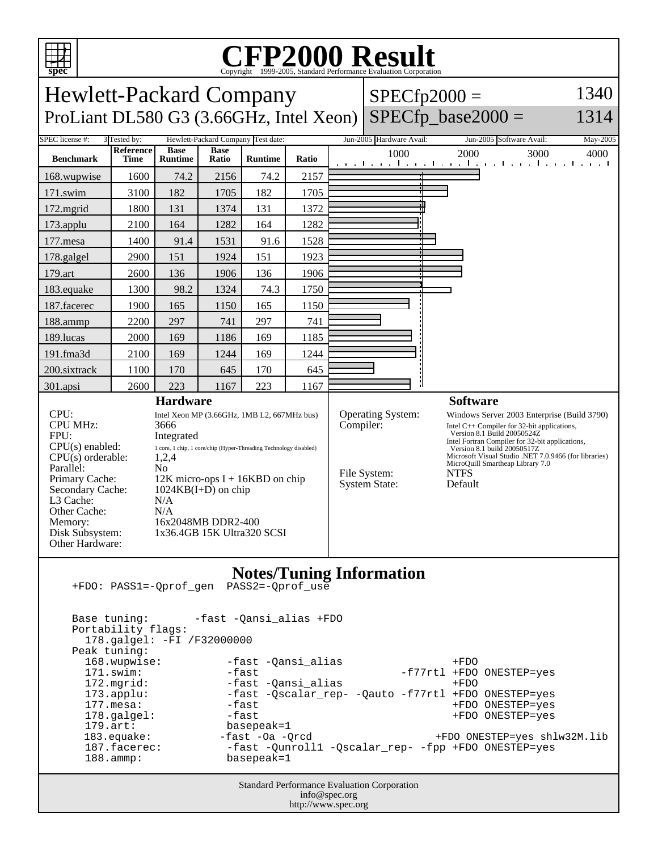

## C<sub>opyright</sub> ©1999-2005, Standard Performance Evaluation Corporation

| spec<br>Copyright ©1999-2005, Standard Performance Evaluation Corporation                                                                                                                                                                                                                                                                                                                                                                                                                                                            |      |                |       |                |       |                                                                                                                                                                                                                                                                                                                                                                                                                                          |                          |                                                                            |
|--------------------------------------------------------------------------------------------------------------------------------------------------------------------------------------------------------------------------------------------------------------------------------------------------------------------------------------------------------------------------------------------------------------------------------------------------------------------------------------------------------------------------------------|------|----------------|-------|----------------|-------|------------------------------------------------------------------------------------------------------------------------------------------------------------------------------------------------------------------------------------------------------------------------------------------------------------------------------------------------------------------------------------------------------------------------------------------|--------------------------|----------------------------------------------------------------------------|
| 1340<br><b>Hewlett-Packard Company</b><br>$SPECfp2000 =$<br>$SPECfp\_base2000 =$<br>1314                                                                                                                                                                                                                                                                                                                                                                                                                                             |      |                |       |                |       |                                                                                                                                                                                                                                                                                                                                                                                                                                          |                          |                                                                            |
| ProLiant DL580 G3 (3.66GHz, Intel Xeon)                                                                                                                                                                                                                                                                                                                                                                                                                                                                                              |      |                |       |                |       |                                                                                                                                                                                                                                                                                                                                                                                                                                          |                          |                                                                            |
| <b>SPEC</b> license #:<br>3 Tested by:<br>Hewlett-Packard Company Test date:<br><b>Reference</b><br><b>Base</b><br><b>Base</b>                                                                                                                                                                                                                                                                                                                                                                                                       |      |                |       |                |       |                                                                                                                                                                                                                                                                                                                                                                                                                                          | Jun-2005 Hardware Avail: | May-2005<br>Jun-2005 Software Avail:                                       |
| <b>Benchmark</b>                                                                                                                                                                                                                                                                                                                                                                                                                                                                                                                     | Time | <b>Runtime</b> | Ratio | <b>Runtime</b> | Ratio |                                                                                                                                                                                                                                                                                                                                                                                                                                          | 1000                     | 2000<br>3000<br>4000<br>التعبيلين ويتلبث ويتلبث ويتلبث ويتلبث ويتلبث ويلبث |
| 168.wupwise                                                                                                                                                                                                                                                                                                                                                                                                                                                                                                                          | 1600 | 74.2           | 2156  | 74.2           | 2157  |                                                                                                                                                                                                                                                                                                                                                                                                                                          |                          |                                                                            |
| 171.swim                                                                                                                                                                                                                                                                                                                                                                                                                                                                                                                             | 3100 | 182            | 1705  | 182            | 1705  |                                                                                                                                                                                                                                                                                                                                                                                                                                          |                          |                                                                            |
| 172.mgrid                                                                                                                                                                                                                                                                                                                                                                                                                                                                                                                            | 1800 | 131            | 1374  | 131            | 1372  |                                                                                                                                                                                                                                                                                                                                                                                                                                          |                          |                                                                            |
| 173.applu                                                                                                                                                                                                                                                                                                                                                                                                                                                                                                                            | 2100 | 164            | 1282  | 164            | 1282  |                                                                                                                                                                                                                                                                                                                                                                                                                                          |                          |                                                                            |
| 177.mesa                                                                                                                                                                                                                                                                                                                                                                                                                                                                                                                             | 1400 | 91.4           | 1531  | 91.6           | 1528  |                                                                                                                                                                                                                                                                                                                                                                                                                                          |                          |                                                                            |
| 178.galgel                                                                                                                                                                                                                                                                                                                                                                                                                                                                                                                           | 2900 | 151            | 1924  | 151            | 1923  |                                                                                                                                                                                                                                                                                                                                                                                                                                          |                          |                                                                            |
| 179.art                                                                                                                                                                                                                                                                                                                                                                                                                                                                                                                              | 2600 | 136            | 1906  | 136            | 1906  |                                                                                                                                                                                                                                                                                                                                                                                                                                          |                          |                                                                            |
| 183.equake                                                                                                                                                                                                                                                                                                                                                                                                                                                                                                                           | 1300 | 98.2           | 1324  | 74.3           | 1750  |                                                                                                                                                                                                                                                                                                                                                                                                                                          |                          |                                                                            |
| 187.facerec                                                                                                                                                                                                                                                                                                                                                                                                                                                                                                                          | 1900 | 165            | 1150  | 165            | 1150  |                                                                                                                                                                                                                                                                                                                                                                                                                                          |                          |                                                                            |
| 188.ammp                                                                                                                                                                                                                                                                                                                                                                                                                                                                                                                             | 2200 | 297            | 741   | 297            | 741   |                                                                                                                                                                                                                                                                                                                                                                                                                                          |                          |                                                                            |
| 189.lucas                                                                                                                                                                                                                                                                                                                                                                                                                                                                                                                            | 2000 | 169            | 1186  | 169            | 1185  |                                                                                                                                                                                                                                                                                                                                                                                                                                          |                          |                                                                            |
| 191.fma3d                                                                                                                                                                                                                                                                                                                                                                                                                                                                                                                            | 2100 | 169            | 1244  | 169            | 1244  |                                                                                                                                                                                                                                                                                                                                                                                                                                          |                          |                                                                            |
| 200.sixtrack                                                                                                                                                                                                                                                                                                                                                                                                                                                                                                                         | 1100 | 170            | 645   | 170            | 645   |                                                                                                                                                                                                                                                                                                                                                                                                                                          |                          |                                                                            |
| 301.apsi                                                                                                                                                                                                                                                                                                                                                                                                                                                                                                                             | 2600 | 223            | 1167  | 223            | 1167  |                                                                                                                                                                                                                                                                                                                                                                                                                                          |                          |                                                                            |
| <b>Hardware</b><br>CPU:<br>Intel Xeon MP (3.66GHz, 1MB L2, 667MHz bus)<br><b>CPU MHz:</b><br>3666<br>FPU:<br>Integrated<br>$CPU(s)$ enabled:<br>1 core, 1 chip, 1 core/chip (Hyper-Threading Technology disabled)<br>$CPU(s)$ orderable:<br>1,2,4<br>Parallel:<br>N <sub>o</sub><br>Primary Cache:<br>$12K$ micro-ops I + 16KBD on chip<br>Secondary Cache:<br>$1024KB(I+D)$ on chip<br>L3 Cache:<br>N/A<br>Other Cache:<br>N/A<br>16x2048MB DDR2-400<br>Memory:<br>Disk Subsystem:<br>1x36.4GB 15K Ultra320 SCSI<br>Other Hardware: |      |                |       |                |       | <b>Software</b><br><b>Operating System:</b><br>Windows Server 2003 Enterprise (Build 3790)<br>Compiler:<br>Intel $C++$ Compiler for 32-bit applications,<br>Version 8.1 Build 20050524Z<br>Intel Fortran Compiler for 32-bit applications,<br>Version 8.1 build 20050517Z<br>Microsoft Visual Studio .NET 7.0.9466 (for libraries)<br>MicroQuill Smartheap Library 7.0<br>File System:<br><b>NTFS</b><br><b>System State:</b><br>Default |                          |                                                                            |
| <b>Notes/Tuning Information</b><br>PASS2=-Oprof use<br>+FDO: PASS1=-Qprof_gen<br>-fast -Qansi_alias +FDO<br>Base tuning:<br>Portability flags:<br>178.galgel: -FI /F32000000<br>Peak tuning:<br>168.wupwise:<br>-fast -Qansi_alias<br>$+FDO$<br>$-fast$<br>171.swim:<br>-f77rtl +FDO ONESTEP=yes<br>172.mgrid:<br>-fast -Qansi_alias<br>$+FDO$<br>$173.\text{applu}:$<br>-fast -Qscalar_rep- -Qauto -f77rtl +FDO ONESTEP=yes<br>$177.$ mesa:<br>-fast<br>+FDO ONESTEP=yes<br>-fast<br>178.galgel:<br>+FDO ONESTEP=yes                |      |                |       |                |       |                                                                                                                                                                                                                                                                                                                                                                                                                                          |                          |                                                                            |

179.art: basepeak=1<br>183.equake: -fast -0a -Q 183.equake: -fast -Oa -Qrcd +FDO ONESTEP=yes shlw32M.lib 187.facerec: -fast -Qunroll1 -Qscalar\_rep- -fpp +FDO ONESTEP=yes 188.ammp: basepeak=1

> Standard Performance Evaluation Corporation info@spec.org http://www.spec.org